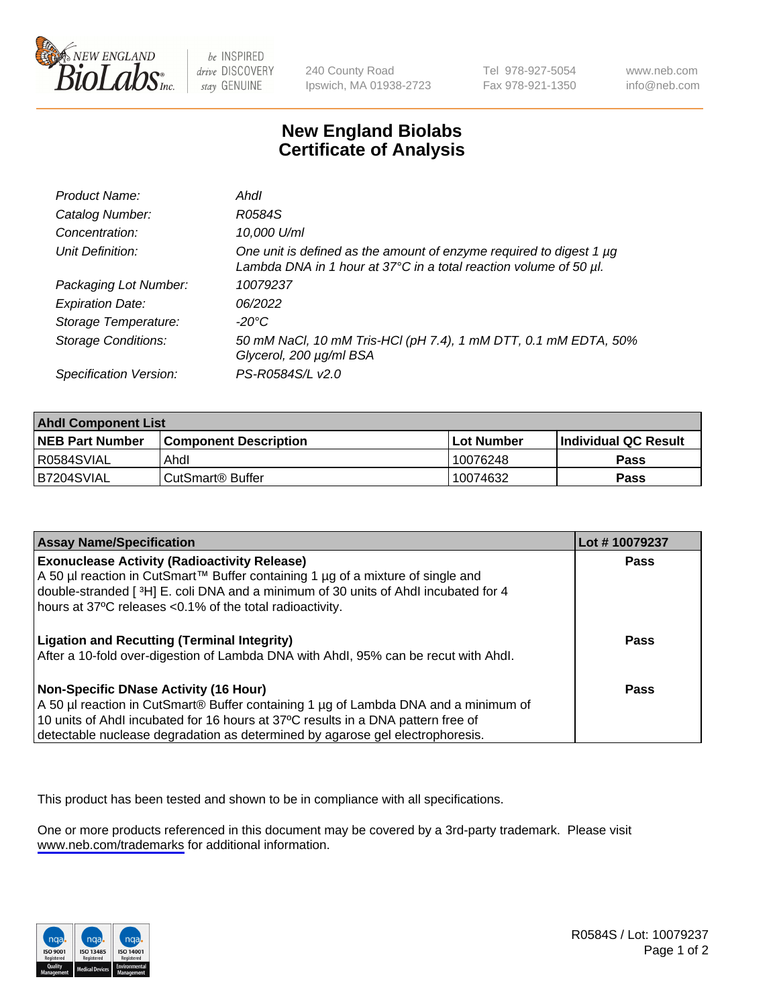

be INSPIRED drive DISCOVERY stay GENUINE

240 County Road Ipswich, MA 01938-2723 Tel 978-927-5054 Fax 978-921-1350

www.neb.com info@neb.com

## **New England Biolabs Certificate of Analysis**

| Product Name:              | Ahdl                                                                                                                                     |
|----------------------------|------------------------------------------------------------------------------------------------------------------------------------------|
| Catalog Number:            | R0584S                                                                                                                                   |
| Concentration:             | 10,000 U/ml                                                                                                                              |
| Unit Definition:           | One unit is defined as the amount of enzyme required to digest 1 µg<br>Lambda DNA in 1 hour at 37°C in a total reaction volume of 50 µl. |
| Packaging Lot Number:      | 10079237                                                                                                                                 |
| <b>Expiration Date:</b>    | 06/2022                                                                                                                                  |
| Storage Temperature:       | -20°C                                                                                                                                    |
| <b>Storage Conditions:</b> | 50 mM NaCl, 10 mM Tris-HCl (pH 7.4), 1 mM DTT, 0.1 mM EDTA, 50%<br>Glycerol, 200 µg/ml BSA                                               |
| Specification Version:     | PS-R0584S/L v2.0                                                                                                                         |

| <b>Ahdl Component List</b> |                              |              |                             |  |
|----------------------------|------------------------------|--------------|-----------------------------|--|
| <b>NEB Part Number</b>     | <b>Component Description</b> | l Lot Number | <b>Individual QC Result</b> |  |
| R0584SVIAL                 | Ahdl                         | 10076248     | Pass                        |  |
| B7204SVIAL                 | l CutSmart® Buffer           | 10074632     | Pass                        |  |

| <b>Assay Name/Specification</b>                                                                                                                                                                                                                                                                   | Lot #10079237 |
|---------------------------------------------------------------------------------------------------------------------------------------------------------------------------------------------------------------------------------------------------------------------------------------------------|---------------|
| <b>Exonuclease Activity (Radioactivity Release)</b><br>A 50 µl reaction in CutSmart™ Buffer containing 1 µg of a mixture of single and<br>double-stranded [3H] E. coli DNA and a minimum of 30 units of Ahdl incubated for 4                                                                      | <b>Pass</b>   |
| hours at 37°C releases <0.1% of the total radioactivity.<br><b>Ligation and Recutting (Terminal Integrity)</b><br>After a 10-fold over-digestion of Lambda DNA with Ahdl, 95% can be recut with Ahdl.                                                                                             | Pass          |
| Non-Specific DNase Activity (16 Hour)<br>A 50 µl reaction in CutSmart® Buffer containing 1 µg of Lambda DNA and a minimum of<br>10 units of Ahdl incubated for 16 hours at 37°C results in a DNA pattern free of<br>detectable nuclease degradation as determined by agarose gel electrophoresis. | Pass          |

This product has been tested and shown to be in compliance with all specifications.

One or more products referenced in this document may be covered by a 3rd-party trademark. Please visit <www.neb.com/trademarks>for additional information.